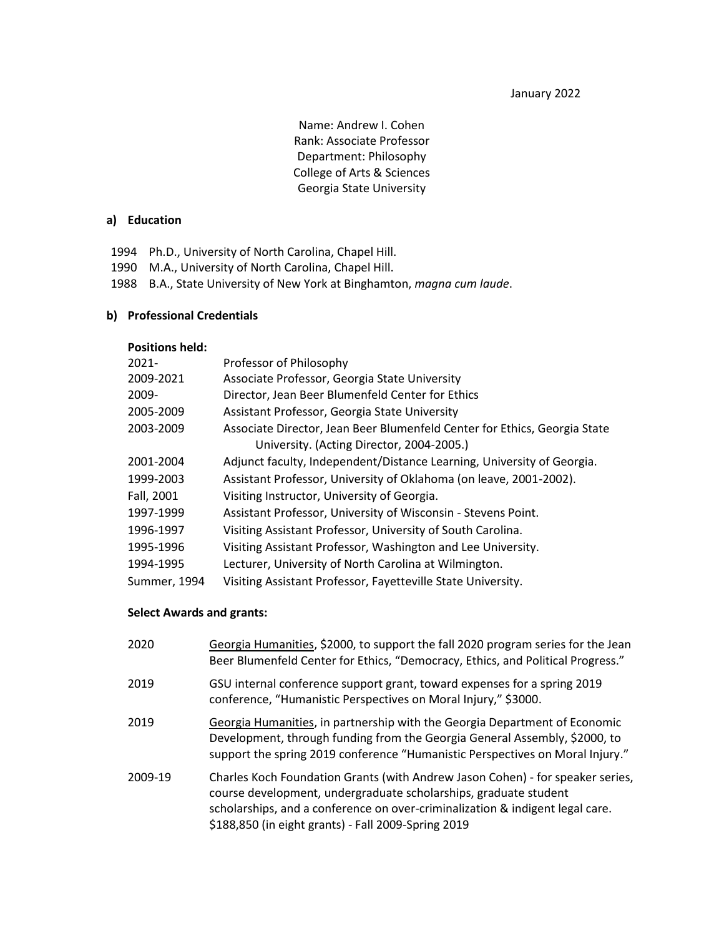January 2022

Name: Andrew I. Cohen Rank: Associate Professor Department: Philosophy College of Arts & Sciences Georgia State University

#### **a) Education**

- 1994 Ph.D., University of North Carolina, Chapel Hill.
- 1990 M.A., University of North Carolina, Chapel Hill.
- 1988 B.A., State University of New York at Binghamton, *magna cum laude*.

#### **b) Professional Credentials**

#### **Positions held:**

| $2021 -$     | Professor of Philosophy                                                   |
|--------------|---------------------------------------------------------------------------|
| 2009-2021    | Associate Professor, Georgia State University                             |
| 2009-        | Director, Jean Beer Blumenfeld Center for Ethics                          |
| 2005-2009    | Assistant Professor, Georgia State University                             |
| 2003-2009    | Associate Director, Jean Beer Blumenfeld Center for Ethics, Georgia State |
|              | University. (Acting Director, 2004-2005.)                                 |
| 2001-2004    | Adjunct faculty, Independent/Distance Learning, University of Georgia.    |
| 1999-2003    | Assistant Professor, University of Oklahoma (on leave, 2001-2002).        |
| Fall, 2001   | Visiting Instructor, University of Georgia.                               |
| 1997-1999    | Assistant Professor, University of Wisconsin - Stevens Point.             |
| 1996-1997    | Visiting Assistant Professor, University of South Carolina.               |
| 1995-1996    | Visiting Assistant Professor, Washington and Lee University.              |
| 1994-1995    | Lecturer, University of North Carolina at Wilmington.                     |
| Summer, 1994 | Visiting Assistant Professor, Fayetteville State University.              |

#### **Select Awards and grants:**

| 2020    | Georgia Humanities, \$2000, to support the fall 2020 program series for the Jean<br>Beer Blumenfeld Center for Ethics, "Democracy, Ethics, and Political Progress."                                                                                                                        |
|---------|--------------------------------------------------------------------------------------------------------------------------------------------------------------------------------------------------------------------------------------------------------------------------------------------|
| 2019    | GSU internal conference support grant, toward expenses for a spring 2019<br>conference, "Humanistic Perspectives on Moral Injury," \$3000.                                                                                                                                                 |
| 2019    | Georgia Humanities, in partnership with the Georgia Department of Economic<br>Development, through funding from the Georgia General Assembly, \$2000, to<br>support the spring 2019 conference "Humanistic Perspectives on Moral Injury."                                                  |
| 2009-19 | Charles Koch Foundation Grants (with Andrew Jason Cohen) - for speaker series,<br>course development, undergraduate scholarships, graduate student<br>scholarships, and a conference on over-criminalization & indigent legal care.<br>\$188,850 (in eight grants) - Fall 2009-Spring 2019 |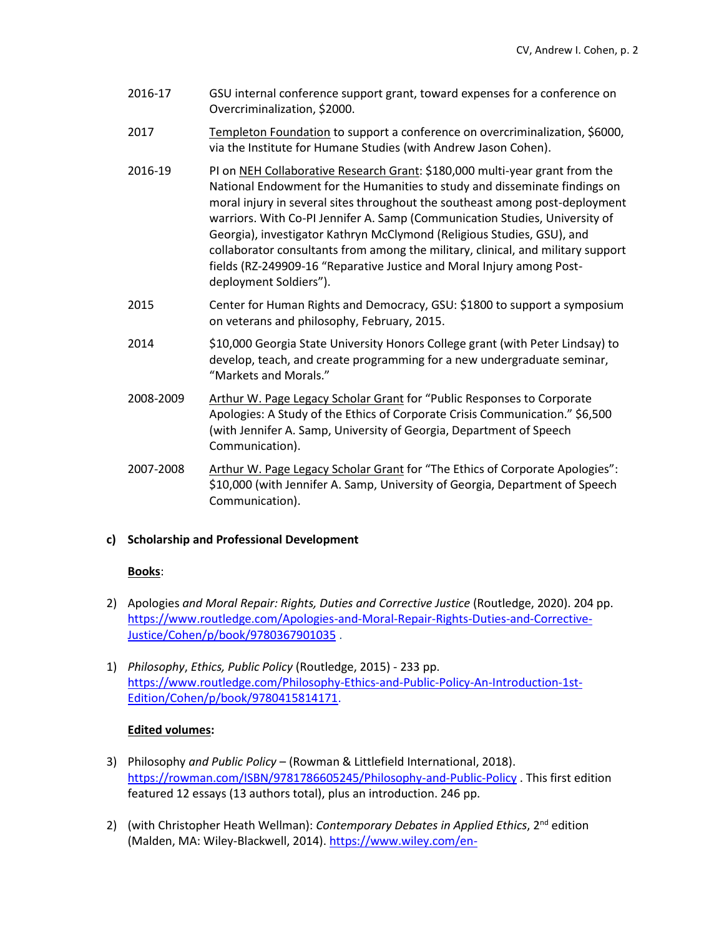- 2016-17 GSU internal conference support grant, toward expenses for a conference on Overcriminalization, \$2000.
- 2017 Templeton Foundation to support a conference on overcriminalization, \$6000, via the Institute for Humane Studies (with Andrew Jason Cohen).
- 2016-19 PI on NEH Collaborative Research Grant: \$180,000 multi-year grant from the National Endowment for the Humanities to study and disseminate findings on moral injury in several sites throughout the southeast among post-deployment warriors. With Co-PI Jennifer A. Samp (Communication Studies, University of Georgia), investigator Kathryn McClymond (Religious Studies, GSU), and collaborator consultants from among the military, clinical, and military support fields (RZ-249909-16 "Reparative Justice and Moral Injury among Postdeployment Soldiers").
- 2015 Center for Human Rights and Democracy, GSU: \$1800 to support a symposium on veterans and philosophy, February, 2015.
- 2014 \$10,000 Georgia State University Honors College grant (with Peter Lindsay) to develop, teach, and create programming for a new undergraduate seminar, "Markets and Morals."
- 2008-2009 Arthur W. Page Legacy Scholar Grant for "Public Responses to Corporate Apologies: A Study of the Ethics of Corporate Crisis Communication." \$6,500 (with Jennifer A. Samp, University of Georgia, Department of Speech Communication).
- 2007-2008 Arthur W. Page Legacy Scholar Grant for "The Ethics of Corporate Apologies": \$10,000 (with Jennifer A. Samp, University of Georgia, Department of Speech Communication).

# **c) Scholarship and Professional Development**

### **Books**:

- 2) Apologies *and Moral Repair: Rights, Duties and Corrective Justice* (Routledge, 2020). 204 pp. [https://www.routledge.com/Apologies-and-Moral-Repair-Rights-Duties-and-Corrective-](https://www.routledge.com/Apologies-and-Moral-Repair-Rights-Duties-and-Corrective-Justice/Cohen/p/book/9780367901035)[Justice/Cohen/p/book/9780367901035](https://www.routledge.com/Apologies-and-Moral-Repair-Rights-Duties-and-Corrective-Justice/Cohen/p/book/9780367901035) .
- 1) *Philosophy*, *Ethics, Public Policy* (Routledge, 2015) 233 pp. [https://www.routledge.com/Philosophy-Ethics-and-Public-Policy-An-Introduction-1st-](https://www.routledge.com/Philosophy-Ethics-and-Public-Policy-An-Introduction-1st-Edition/Cohen/p/book/9780415814171)[Edition/Cohen/p/book/9780415814171.](https://www.routledge.com/Philosophy-Ethics-and-Public-Policy-An-Introduction-1st-Edition/Cohen/p/book/9780415814171)

### **Edited volumes:**

- 3) Philosophy *and Public Policy* (Rowman & Littlefield International, 2018). <https://rowman.com/ISBN/9781786605245/Philosophy-and-Public-Policy> . This first edition featured 12 essays (13 authors total), plus an introduction. 246 pp.
- 2) (with Christopher Heath Wellman): *Contemporary Debates in Applied Ethics*, 2<sup>nd</sup> edition (Malden, MA: Wiley-Blackwell, 2014)[. https://www.wiley.com/en-](https://www.wiley.com/en-us/Contemporary+Debates+in+Applied+Ethics%2C+2nd+Edition-p-9781118479391)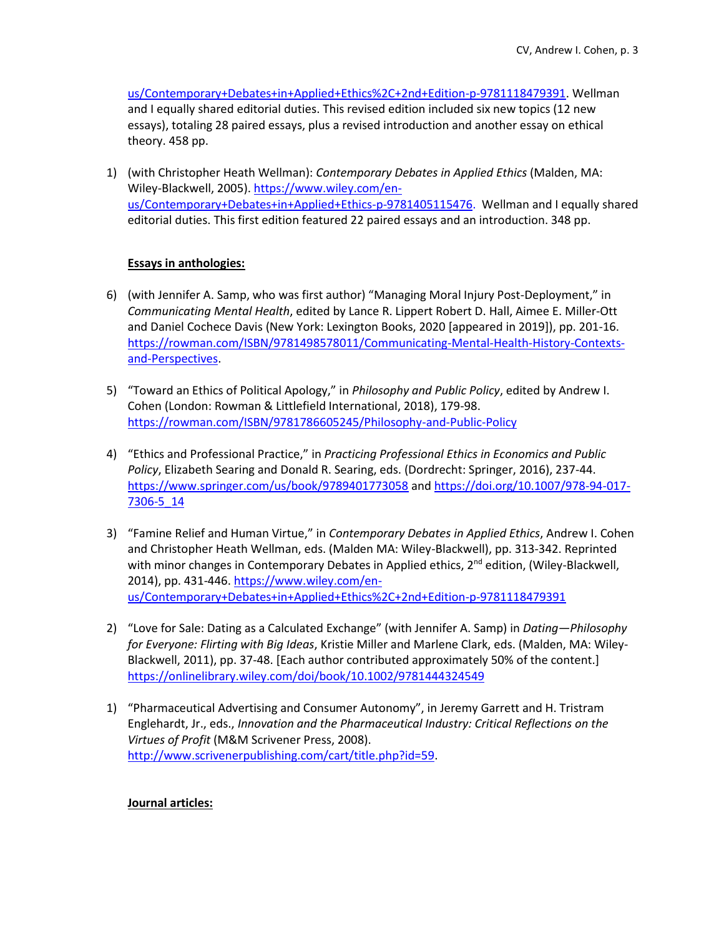[us/Contemporary+Debates+in+Applied+Ethics%2C+2nd+Edition-p-9781118479391.](https://www.wiley.com/en-us/Contemporary+Debates+in+Applied+Ethics%2C+2nd+Edition-p-9781118479391) Wellman and I equally shared editorial duties. This revised edition included six new topics (12 new essays), totaling 28 paired essays, plus a revised introduction and another essay on ethical theory. 458 pp.

1) (with Christopher Heath Wellman): *Contemporary Debates in Applied Ethics* (Malden, MA: Wiley-Blackwell, 2005)[. https://www.wiley.com/en](https://www.wiley.com/en-us/Contemporary+Debates+in+Applied+Ethics-p-9781405115476)[us/Contemporary+Debates+in+Applied+Ethics-p-9781405115476.](https://www.wiley.com/en-us/Contemporary+Debates+in+Applied+Ethics-p-9781405115476) Wellman and I equally shared editorial duties. This first edition featured 22 paired essays and an introduction. 348 pp.

## **Essays in anthologies:**

- 6) (with Jennifer A. Samp, who was first author) "Managing Moral Injury Post-Deployment," in *Communicating Mental Health*, edited by Lance R. Lippert Robert D. Hall, Aimee E. Miller-Ott and Daniel Cochece Davis (New York: Lexington Books, 2020 [appeared in 2019]), pp. 201-16. [https://rowman.com/ISBN/9781498578011/Communicating-Mental-Health-History-Contexts](https://rowman.com/ISBN/9781498578011/Communicating-Mental-Health-History-Contexts-and-Perspectives)[and-Perspectives.](https://rowman.com/ISBN/9781498578011/Communicating-Mental-Health-History-Contexts-and-Perspectives)
- 5) "Toward an Ethics of Political Apology," in *Philosophy and Public Policy*, edited by Andrew I. Cohen (London: Rowman & Littlefield International, 2018), 179-98. <https://rowman.com/ISBN/9781786605245/Philosophy-and-Public-Policy>
- 4) "Ethics and Professional Practice," in *Practicing Professional Ethics in Economics and Public Policy*, Elizabeth Searing and Donald R. Searing, eds. (Dordrecht: Springer, 2016), 237-44. <https://www.springer.com/us/book/9789401773058> and [https://doi.org/10.1007/978-94-017-](https://doi.org/10.1007/978-94-017-7306-5_14) [7306-5\\_14](https://doi.org/10.1007/978-94-017-7306-5_14)
- 3) "Famine Relief and Human Virtue," in *Contemporary Debates in Applied Ethics*, Andrew I. Cohen and Christopher Heath Wellman, eds. (Malden MA: Wiley-Blackwell), pp. 313-342. Reprinted with minor changes in Contemporary Debates in Applied ethics, 2<sup>nd</sup> edition, (Wiley-Blackwell, 2014), pp. 431-446. [https://www.wiley.com/en](https://www.wiley.com/en-us/Contemporary+Debates+in+Applied+Ethics%2C+2nd+Edition-p-9781118479391)[us/Contemporary+Debates+in+Applied+Ethics%2C+2nd+Edition-p-9781118479391](https://www.wiley.com/en-us/Contemporary+Debates+in+Applied+Ethics%2C+2nd+Edition-p-9781118479391)
- 2) "Love for Sale: Dating as a Calculated Exchange" (with Jennifer A. Samp) in *Dating—Philosophy for Everyone: Flirting with Big Ideas*, Kristie Miller and Marlene Clark, eds. (Malden, MA: Wiley-Blackwell, 2011), pp. 37-48. [Each author contributed approximately 50% of the content.] <https://onlinelibrary.wiley.com/doi/book/10.1002/9781444324549>
- 1) "Pharmaceutical Advertising and Consumer Autonomy", in Jeremy Garrett and H. Tristram Englehardt, Jr., eds., *Innovation and the Pharmaceutical Industry: Critical Reflections on the Virtues of Profit* (M&M Scrivener Press, 2008). [http://www.scrivenerpublishing.com/cart/title.php?id=59.](http://www.scrivenerpublishing.com/cart/title.php?id=59)

### **Journal articles:**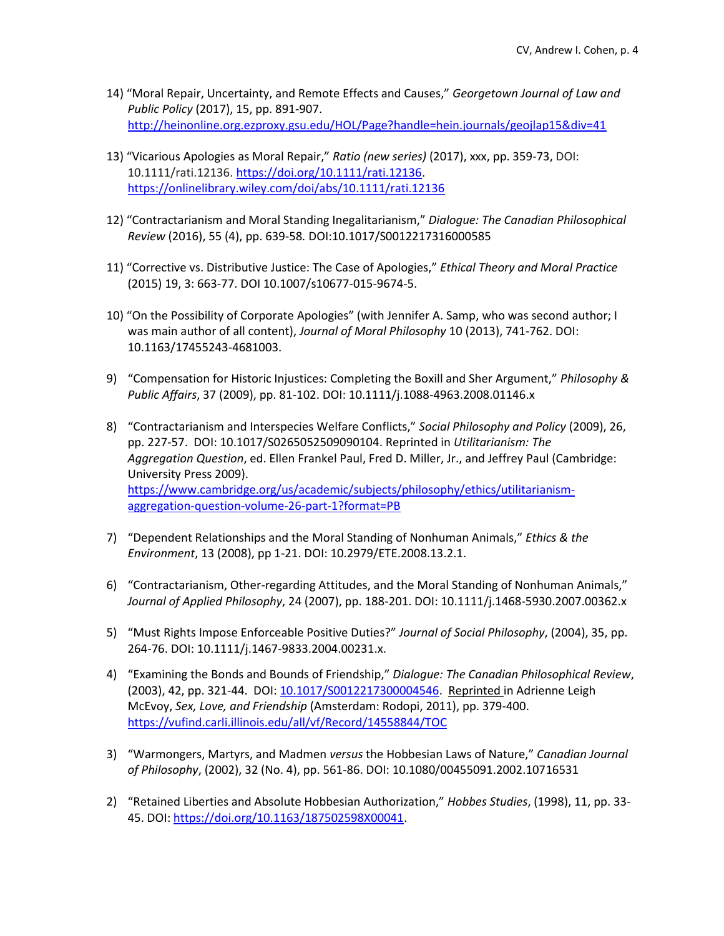- 14) "Moral Repair, Uncertainty, and Remote Effects and Causes," *Georgetown Journal of Law and Public Policy* (2017), 15, pp. 891-907. <http://heinonline.org.ezproxy.gsu.edu/HOL/Page?handle=hein.journals/geojlap15&div=41>
- 13) "Vicarious Apologies as Moral Repair," *Ratio (new series)* (2017), xxx, pp. 359-73, DOI: 10.1111/rati.12136. [https://doi.org/10.1111/rati.12136.](https://doi.org/10.1111/rati.12136) <https://onlinelibrary.wiley.com/doi/abs/10.1111/rati.12136>
- 12) "Contractarianism and Moral Standing Inegalitarianism," *Dialogue: The Canadian Philosophical Review* (2016), 55 (4), pp. 639-58*.* DOI:10.1017/S0012217316000585
- 11) "Corrective vs. Distributive Justice: The Case of Apologies," *Ethical Theory and Moral Practice* (2015) 19, 3: 663-77. DOI 10.1007/s10677-015-9674-5.
- 10) "On the Possibility of Corporate Apologies" (with Jennifer A. Samp, who was second author; I was main author of all content), *Journal of Moral Philosophy* 10 (2013), 741-762. DOI: 10.1163/17455243-4681003.
- 9) "Compensation for Historic Injustices: Completing the Boxill and Sher Argument," *Philosophy & Public Affairs*, 37 (2009), pp. 81-102. DOI: 10.1111/j.1088-4963.2008.01146.x
- 8) "Contractarianism and Interspecies Welfare Conflicts," *Social Philosophy and Policy* (2009), 26, pp. 227-57. DOI: 10.1017/S0265052509090104. Reprinted in *Utilitarianism: The Aggregation Question*, ed. Ellen Frankel Paul, Fred D. Miller, Jr., and Jeffrey Paul (Cambridge: University Press 2009). [https://www.cambridge.org/us/academic/subjects/philosophy/ethics/utilitarianism](https://www.cambridge.org/us/academic/subjects/philosophy/ethics/utilitarianism-aggregation-question-volume-26-part-1?format=PB)[aggregation-question-volume-26-part-1?format=PB](https://www.cambridge.org/us/academic/subjects/philosophy/ethics/utilitarianism-aggregation-question-volume-26-part-1?format=PB)
- 7) "Dependent Relationships and the Moral Standing of Nonhuman Animals," *Ethics & the Environment*, 13 (2008), pp 1-21. DOI: 10.2979/ETE.2008.13.2.1.
- 6) "Contractarianism, Other-regarding Attitudes, and the Moral Standing of Nonhuman Animals," *Journal of Applied Philosophy*, 24 (2007), pp. 188-201. DOI: 10.1111/j.1468-5930.2007.00362.x
- 5) "Must Rights Impose Enforceable Positive Duties?" *Journal of Social Philosophy*, (2004), 35, pp. 264-76. DOI: 10.1111/j.1467-9833.2004.00231.x.
- 4) "Examining the Bonds and Bounds of Friendship," *Dialogue: The Canadian Philosophical Review*, (2003), 42, pp. 321-44. DOI[: 10.1017/S0012217300004546.](https://www.researchgate.net/deref/http%3A%2F%2Fdx.doi.org%2F10.1017%2FS0012217300004546) Reprinted in Adrienne Leigh McEvoy, *Sex, Love, and Friendship* (Amsterdam: Rodopi, 2011), pp. 379-400. <https://vufind.carli.illinois.edu/all/vf/Record/14558844/TOC>
- 3) "Warmongers, Martyrs, and Madmen *versus* the Hobbesian Laws of Nature," *Canadian Journal of Philosophy*, (2002), 32 (No. 4), pp. 561-86. DOI: 10.1080/00455091.2002.10716531
- 2) "Retained Liberties and Absolute Hobbesian Authorization," *Hobbes Studies*, (1998), 11, pp. 33- 45. DOI[: https://doi.org/10.1163/187502598X00041.](https://doi.org/10.1163/187502598X00041)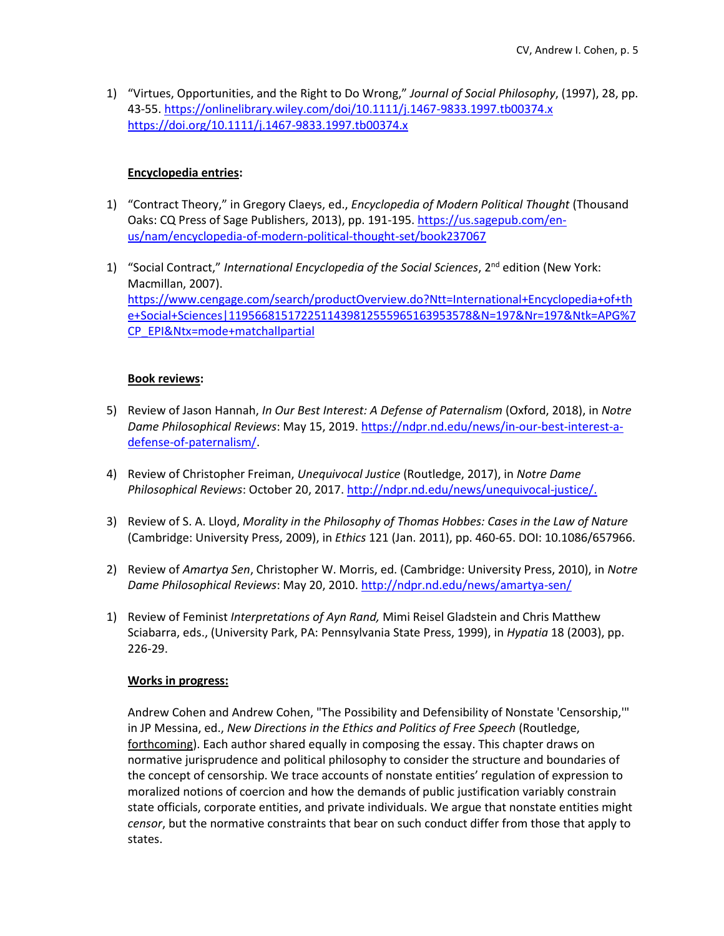1) "Virtues, Opportunities, and the Right to Do Wrong," *Journal of Social Philosophy*, (1997), 28, pp. 43-55.<https://onlinelibrary.wiley.com/doi/10.1111/j.1467-9833.1997.tb00374.x> <https://doi.org/10.1111/j.1467-9833.1997.tb00374.x>

# **Encyclopedia entries:**

- 1) "Contract Theory," in Gregory Claeys, ed., *Encyclopedia of Modern Political Thought* (Thousand Oaks: CQ Press of Sage Publishers, 2013), pp. 191-195. [https://us.sagepub.com/en](https://us.sagepub.com/en-us/nam/encyclopedia-of-modern-political-thought-set/book237067)[us/nam/encyclopedia-of-modern-political-thought-set/book237067](https://us.sagepub.com/en-us/nam/encyclopedia-of-modern-political-thought-set/book237067)
- 1) "Social Contract," *International Encyclopedia of the Social Sciences*, 2<sup>nd</sup> edition (New York: Macmillan, 2007). [https://www.cengage.com/search/productOverview.do?Ntt=International+Encyclopedia+of+th](https://www.cengage.com/search/productOverview.do?Ntt=International+Encyclopedia+of+the+Social+Sciences|1195668151722511439812555965163953578&N=197&Nr=197&Ntk=APG%7CP_EPI&Ntx=mode+matchallpartial) [e+Social+Sciences|1195668151722511439812555965163953578&N=197&Nr=197&Ntk=APG%7](https://www.cengage.com/search/productOverview.do?Ntt=International+Encyclopedia+of+the+Social+Sciences|1195668151722511439812555965163953578&N=197&Nr=197&Ntk=APG%7CP_EPI&Ntx=mode+matchallpartial) [CP\\_EPI&Ntx=mode+matchallpartial](https://www.cengage.com/search/productOverview.do?Ntt=International+Encyclopedia+of+the+Social+Sciences|1195668151722511439812555965163953578&N=197&Nr=197&Ntk=APG%7CP_EPI&Ntx=mode+matchallpartial)

### **Book reviews:**

- 5) Review of Jason Hannah, *In Our Best Interest: A Defense of Paternalism* (Oxford, 2018), in *Notre Dame Philosophical Reviews*: May 15, 2019[. https://ndpr.nd.edu/news/in-our-best-interest-a](https://ndpr.nd.edu/news/in-our-best-interest-a-defense-of-paternalism/)[defense-of-paternalism/.](https://ndpr.nd.edu/news/in-our-best-interest-a-defense-of-paternalism/)
- 4) Review of Christopher Freiman, *Unequivocal Justice* (Routledge, 2017), in *Notre Dame Philosophical Reviews*: October 20, 2017[. http://ndpr.nd.edu/news/unequivocal-justice/.](http://ndpr.nd.edu/news/unequivocal-justice/)
- 3) Review of S. A. Lloyd, *Morality in the Philosophy of Thomas Hobbes: Cases in the Law of Nature* (Cambridge: University Press, 2009), in *Ethics* 121 (Jan. 2011), pp. 460-65. DOI: 10.1086/657966.
- 2) Review of *Amartya Sen*, Christopher W. Morris, ed. (Cambridge: University Press, 2010), in *Notre Dame Philosophical Reviews*: May 20, 2010[. http://ndpr.nd.edu/news/amartya-sen/](http://ndpr.nd.edu/news/amartya-sen/)
- 1) Review of Feminist *Interpretations of Ayn Rand,* Mimi Reisel Gladstein and Chris Matthew Sciabarra, eds., (University Park, PA: Pennsylvania State Press, 1999), in *Hypatia* 18 (2003), pp. 226-29.

### **Works in progress:**

Andrew Cohen and Andrew Cohen, "The Possibility and Defensibility of Nonstate 'Censorship,'" in JP Messina, ed., *New Directions in the Ethics and Politics of Free Speech* (Routledge, forthcoming). Each author shared equally in composing the essay. This chapter draws on normative jurisprudence and political philosophy to consider the structure and boundaries of the concept of censorship. We trace accounts of nonstate entities' regulation of expression to moralized notions of coercion and how the demands of public justification variably constrain state officials, corporate entities, and private individuals. We argue that nonstate entities might *censor*, but the normative constraints that bear on such conduct differ from those that apply to states.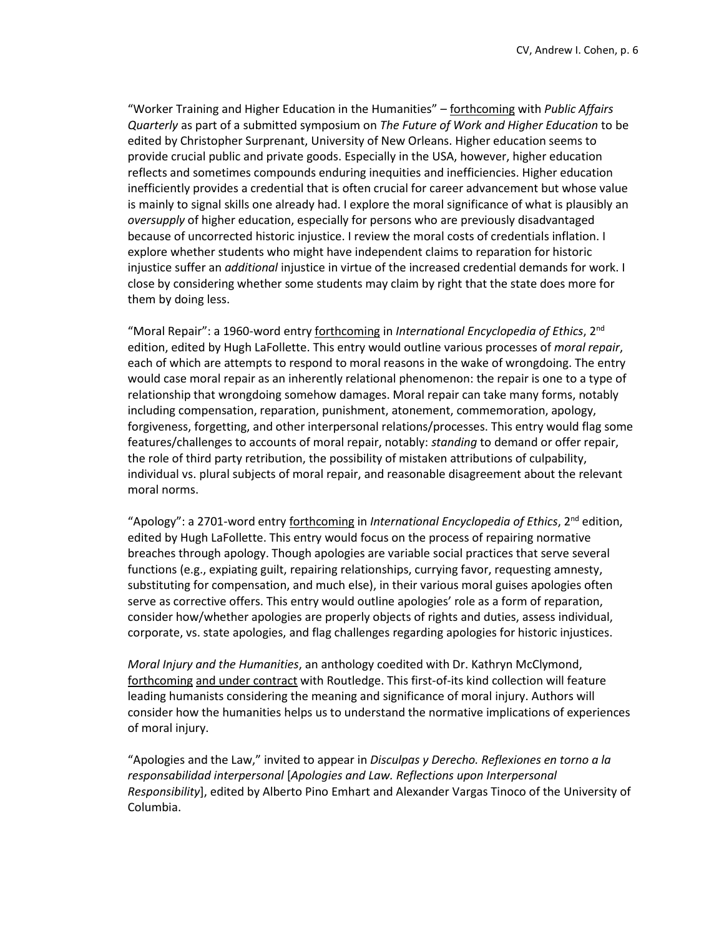"Worker Training and Higher Education in the Humanities" – forthcoming with *Public Affairs Quarterly* as part of a submitted symposium on *The Future of Work and Higher Education* to be edited by Christopher Surprenant, University of New Orleans. Higher education seems to provide crucial public and private goods. Especially in the USA, however, higher education reflects and sometimes compounds enduring inequities and inefficiencies. Higher education inefficiently provides a credential that is often crucial for career advancement but whose value is mainly to signal skills one already had. I explore the moral significance of what is plausibly an *oversupply* of higher education, especially for persons who are previously disadvantaged because of uncorrected historic injustice. I review the moral costs of credentials inflation. I explore whether students who might have independent claims to reparation for historic injustice suffer an *additional* injustice in virtue of the increased credential demands for work. I close by considering whether some students may claim by right that the state does more for them by doing less.

"Moral Repair": a 1960-word entry forthcoming in *International Encyclopedia of Ethics*, 2nd edition, edited by Hugh LaFollette. This entry would outline various processes of *moral repair*, each of which are attempts to respond to moral reasons in the wake of wrongdoing. The entry would case moral repair as an inherently relational phenomenon: the repair is one to a type of relationship that wrongdoing somehow damages. Moral repair can take many forms, notably including compensation, reparation, punishment, atonement, commemoration, apology, forgiveness, forgetting, and other interpersonal relations/processes. This entry would flag some features/challenges to accounts of moral repair, notably: *standing* to demand or offer repair, the role of third party retribution, the possibility of mistaken attributions of culpability, individual vs. plural subjects of moral repair, and reasonable disagreement about the relevant moral norms.

"Apology": a 2701-word entry forthcoming in *International Encyclopedia of Ethics*, 2nd edition, edited by Hugh LaFollette. This entry would focus on the process of repairing normative breaches through apology. Though apologies are variable social practices that serve several functions (e.g., expiating guilt, repairing relationships, currying favor, requesting amnesty, substituting for compensation, and much else), in their various moral guises apologies often serve as corrective offers. This entry would outline apologies' role as a form of reparation, consider how/whether apologies are properly objects of rights and duties, assess individual, corporate, vs. state apologies, and flag challenges regarding apologies for historic injustices.

*Moral Injury and the Humanities*, an anthology coedited with Dr. Kathryn McClymond, forthcoming and under contract with Routledge. This first-of-its kind collection will feature leading humanists considering the meaning and significance of moral injury. Authors will consider how the humanities helps us to understand the normative implications of experiences of moral injury.

"Apologies and the Law," invited to appear in *Disculpas y Derecho. Reflexiones en torno a la responsabilidad interpersonal* [*Apologies and Law. Reflections upon Interpersonal Responsibility*], edited by Alberto Pino Emhart and Alexander Vargas Tinoco of the University of Columbia.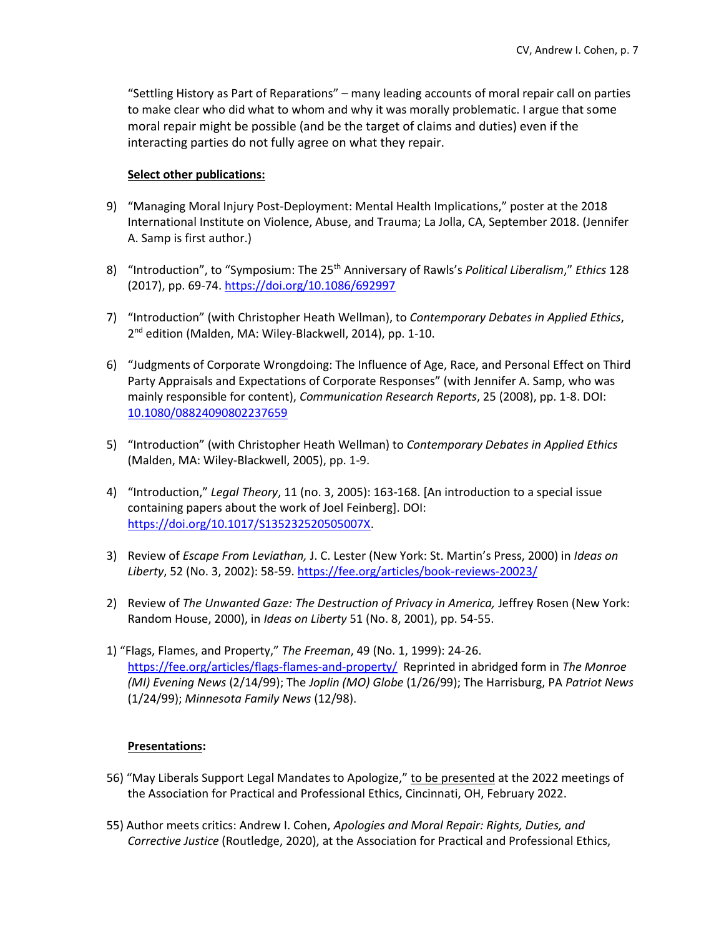"Settling History as Part of Reparations" – many leading accounts of moral repair call on parties to make clear who did what to whom and why it was morally problematic. I argue that some moral repair might be possible (and be the target of claims and duties) even if the interacting parties do not fully agree on what they repair.

#### **Select other publications:**

- 9) "Managing Moral Injury Post-Deployment: Mental Health Implications," poster at the 2018 International Institute on Violence, Abuse, and Trauma; La Jolla, CA, September 2018. (Jennifer A. Samp is first author.)
- 8) "Introduction", to "Symposium: The 25th Anniversary of Rawls's *Political Liberalism*," *Ethics* 128 (2017), pp. 69-74.<https://doi.org/10.1086/692997>
- 7) "Introduction" (with Christopher Heath Wellman), to *Contemporary Debates in Applied Ethics*, 2<sup>nd</sup> edition (Malden, MA: Wiley-Blackwell, 2014), pp. 1-10.
- 6) "Judgments of Corporate Wrongdoing: The Influence of Age, Race, and Personal Effect on Third Party Appraisals and Expectations of Corporate Responses" (with Jennifer A. Samp, who was mainly responsible for content), *Communication Research Reports*, 25 (2008), pp. 1-8. DOI: [10.1080/08824090802237659](https://www.researchgate.net/deref/http%3A%2F%2Fdx.doi.org%2F10.1080%2F08824090802237659)
- 5) "Introduction" (with Christopher Heath Wellman) to *Contemporary Debates in Applied Ethics* (Malden, MA: Wiley-Blackwell, 2005), pp. 1-9.
- 4) "Introduction," *Legal Theory*, 11 (no. 3, 2005): 163-168. [An introduction to a special issue containing papers about the work of Joel Feinberg]. DOI: [https://doi.org/10.1017/S135232520505007X.](https://doi.org/10.1017/S135232520505007X)
- 3) Review of *Escape From Leviathan,* J. C. Lester (New York: St. Martin's Press, 2000) in *Ideas on Liberty*, 52 (No. 3, 2002): 58-59. <https://fee.org/articles/book-reviews-20023/>
- 2) Review of *The Unwanted Gaze: The Destruction of Privacy in America,* Jeffrey Rosen (New York: Random House, 2000), in *Ideas on Liberty* 51 (No. 8, 2001), pp. 54-55.
- 1) "Flags, Flames, and Property," *The Freeman*, 49 (No. 1, 1999): 24-26. <https://fee.org/articles/flags-flames-and-property/> Reprinted in abridged form in *The Monroe (MI) Evening News* (2/14/99); The *Joplin (MO) Globe* (1/26/99); The Harrisburg, PA *Patriot News* (1/24/99); *Minnesota Family News* (12/98).

### **Presentations:**

- 56) "May Liberals Support Legal Mandates to Apologize," to be presented at the 2022 meetings of the Association for Practical and Professional Ethics, Cincinnati, OH, February 2022.
- 55) Author meets critics: Andrew I. Cohen, *Apologies and Moral Repair: Rights, Duties, and Corrective Justice* (Routledge, 2020), at the Association for Practical and Professional Ethics,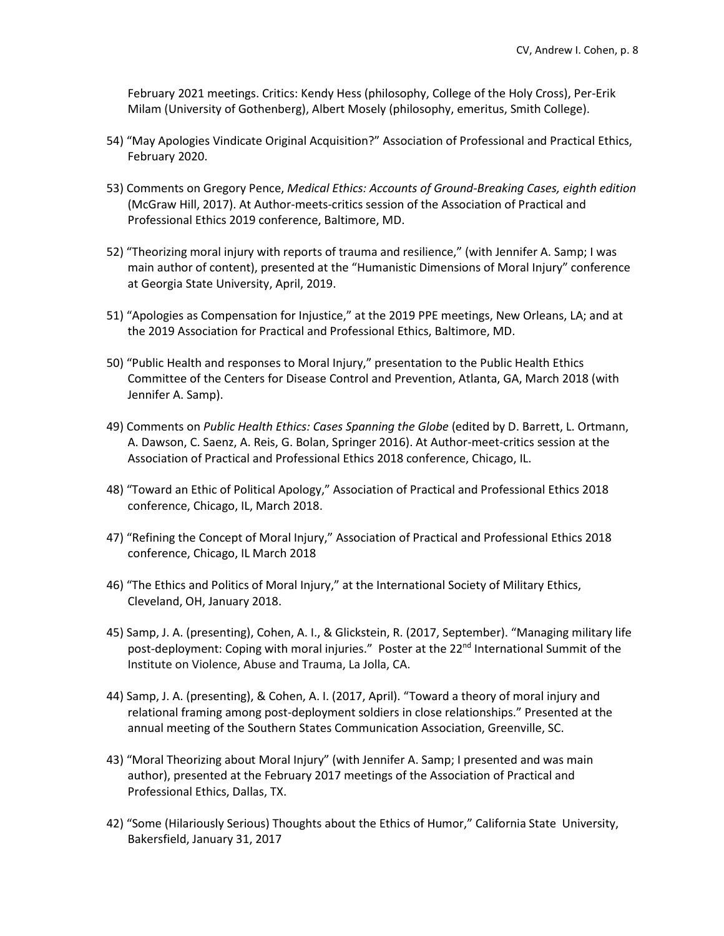February 2021 meetings. Critics: Kendy Hess (philosophy, College of the Holy Cross), Per-Erik Milam (University of Gothenberg), Albert Mosely (philosophy, emeritus, Smith College).

- 54) "May Apologies Vindicate Original Acquisition?" Association of Professional and Practical Ethics, February 2020.
- 53) Comments on Gregory Pence, *Medical Ethics: Accounts of Ground-Breaking Cases, eighth edition*  (McGraw Hill, 2017). At Author-meets-critics session of the Association of Practical and Professional Ethics 2019 conference, Baltimore, MD.
- 52) "Theorizing moral injury with reports of trauma and resilience," (with Jennifer A. Samp; I was main author of content), presented at the "Humanistic Dimensions of Moral Injury" conference at Georgia State University, April, 2019.
- 51) "Apologies as Compensation for Injustice," at the 2019 PPE meetings, New Orleans, LA; and at the 2019 Association for Practical and Professional Ethics, Baltimore, MD.
- 50) "Public Health and responses to Moral Injury," presentation to the Public Health Ethics Committee of the Centers for Disease Control and Prevention, Atlanta, GA, March 2018 (with Jennifer A. Samp).
- 49) Comments on *Public Health Ethics: Cases Spanning the Globe* (edited by D. Barrett, L. Ortmann, A. Dawson, C. Saenz, A. Reis, G. Bolan, Springer 2016). At Author-meet-critics session at the Association of Practical and Professional Ethics 2018 conference, Chicago, IL.
- 48) "Toward an Ethic of Political Apology," Association of Practical and Professional Ethics 2018 conference, Chicago, IL, March 2018.
- 47) "Refining the Concept of Moral Injury," Association of Practical and Professional Ethics 2018 conference, Chicago, IL March 2018
- 46) "The Ethics and Politics of Moral Injury," at the International Society of Military Ethics, Cleveland, OH, January 2018.
- 45) Samp, J. A. (presenting), Cohen, A. I., & Glickstein, R. (2017, September). "Managing military life post-deployment: Coping with moral injuries." Poster at the 22<sup>nd</sup> International Summit of the Institute on Violence, Abuse and Trauma, La Jolla, CA.
- 44) Samp, J. A. (presenting), & Cohen, A. I. (2017, April). "Toward a theory of moral injury and relational framing among post-deployment soldiers in close relationships." Presented at the annual meeting of the Southern States Communication Association, Greenville, SC.
- 43) "Moral Theorizing about Moral Injury" (with Jennifer A. Samp; I presented and was main author), presented at the February 2017 meetings of the Association of Practical and Professional Ethics, Dallas, TX.
- 42) "Some (Hilariously Serious) Thoughts about the Ethics of Humor," California State University, Bakersfield, January 31, 2017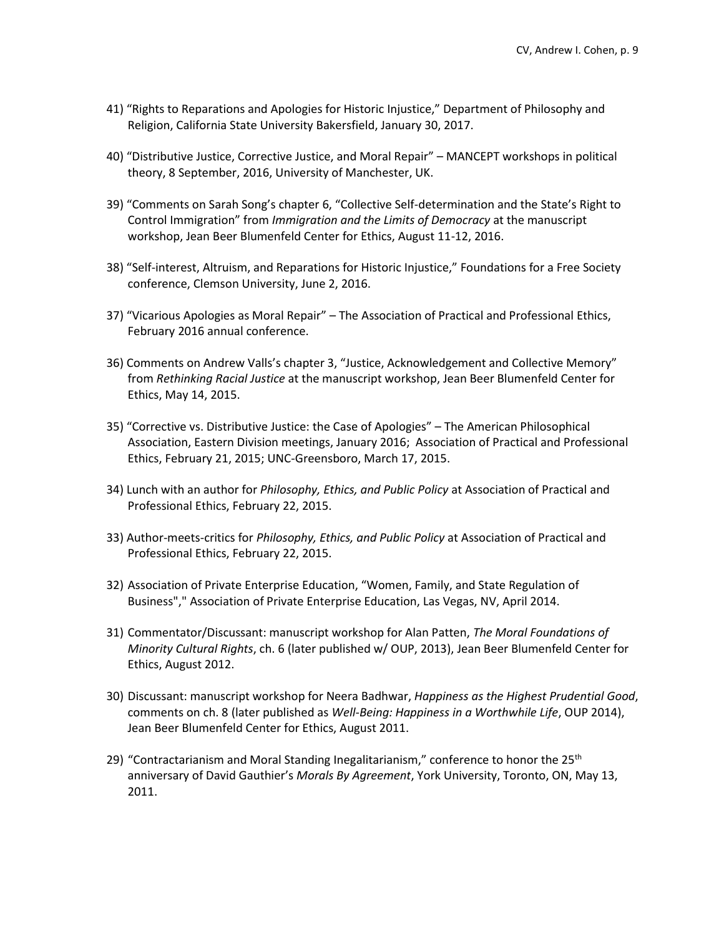- 41) "Rights to Reparations and Apologies for Historic Injustice," Department of Philosophy and Religion, California State University Bakersfield, January 30, 2017.
- 40) "Distributive Justice, Corrective Justice, and Moral Repair" MANCEPT workshops in political theory, 8 September, 2016, University of Manchester, UK.
- 39) "Comments on Sarah Song's chapter 6, "Collective Self-determination and the State's Right to Control Immigration" from *Immigration and the Limits of Democracy* at the manuscript workshop, Jean Beer Blumenfeld Center for Ethics, August 11-12, 2016.
- 38) "Self-interest, Altruism, and Reparations for Historic Injustice," Foundations for a Free Society conference, Clemson University, June 2, 2016.
- 37) "Vicarious Apologies as Moral Repair" The Association of Practical and Professional Ethics, February 2016 annual conference.
- 36) Comments on Andrew Valls's chapter 3, "Justice, Acknowledgement and Collective Memory" from *Rethinking Racial Justice* at the manuscript workshop, Jean Beer Blumenfeld Center for Ethics, May 14, 2015.
- 35) "Corrective vs. Distributive Justice: the Case of Apologies" The American Philosophical Association, Eastern Division meetings, January 2016; Association of Practical and Professional Ethics, February 21, 2015; UNC-Greensboro, March 17, 2015.
- 34) Lunch with an author for *Philosophy, Ethics, and Public Policy* at Association of Practical and Professional Ethics, February 22, 2015.
- 33) Author-meets-critics for *Philosophy, Ethics, and Public Policy* at Association of Practical and Professional Ethics, February 22, 2015.
- 32) Association of Private Enterprise Education, "Women, Family, and State Regulation of Business"," Association of Private Enterprise Education, Las Vegas, NV, April 2014.
- 31) Commentator/Discussant: manuscript workshop for Alan Patten, *The Moral Foundations of Minority Cultural Rights*, ch. 6 (later published w/ OUP, 2013), Jean Beer Blumenfeld Center for Ethics, August 2012.
- 30) Discussant: manuscript workshop for Neera Badhwar, *Happiness as the Highest Prudential Good*, comments on ch. 8 (later published as *Well-Being: Happiness in a Worthwhile Life*, OUP 2014), Jean Beer Blumenfeld Center for Ethics, August 2011.
- 29) "Contractarianism and Moral Standing Inegalitarianism," conference to honor the  $25<sup>th</sup>$ anniversary of David Gauthier's *Morals By Agreement*, York University, Toronto, ON, May 13, 2011.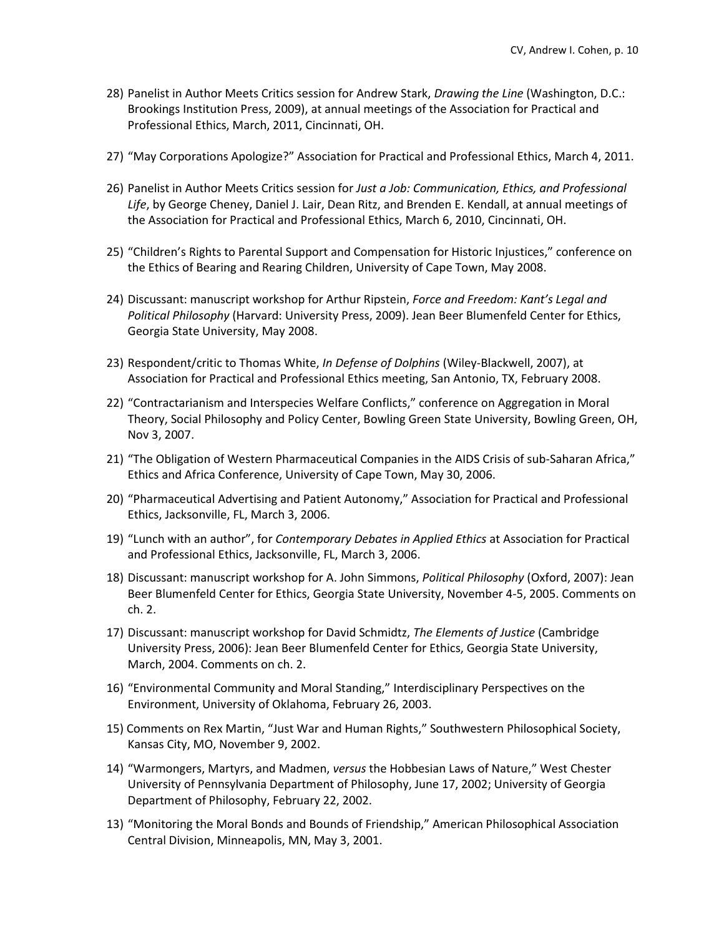- 28) Panelist in Author Meets Critics session for Andrew Stark, *Drawing the Line* (Washington, D.C.: Brookings Institution Press, 2009), at annual meetings of the Association for Practical and Professional Ethics, March, 2011, Cincinnati, OH.
- 27) "May Corporations Apologize?" Association for Practical and Professional Ethics, March 4, 2011.
- 26) Panelist in Author Meets Critics session for *Just a Job: Communication, Ethics, and Professional Life*, by George Cheney, Daniel J. Lair, Dean Ritz, and Brenden E. Kendall, at annual meetings of the Association for Practical and Professional Ethics, March 6, 2010, Cincinnati, OH.
- 25) "Children's Rights to Parental Support and Compensation for Historic Injustices," conference on the Ethics of Bearing and Rearing Children, University of Cape Town, May 2008.
- 24) Discussant: manuscript workshop for Arthur Ripstein, *Force and Freedom: Kant's Legal and Political Philosophy* (Harvard: University Press, 2009). Jean Beer Blumenfeld Center for Ethics, Georgia State University, May 2008.
- 23) Respondent/critic to Thomas White, *In Defense of Dolphins* (Wiley-Blackwell, 2007), at Association for Practical and Professional Ethics meeting, San Antonio, TX, February 2008.
- 22) "Contractarianism and Interspecies Welfare Conflicts," conference on Aggregation in Moral Theory, Social Philosophy and Policy Center, Bowling Green State University, Bowling Green, OH, Nov 3, 2007.
- 21) "The Obligation of Western Pharmaceutical Companies in the AIDS Crisis of sub-Saharan Africa," Ethics and Africa Conference, University of Cape Town, May 30, 2006.
- 20) "Pharmaceutical Advertising and Patient Autonomy," Association for Practical and Professional Ethics, Jacksonville, FL, March 3, 2006.
- 19) "Lunch with an author", for *Contemporary Debates in Applied Ethics* at Association for Practical and Professional Ethics, Jacksonville, FL, March 3, 2006.
- 18) Discussant: manuscript workshop for A. John Simmons, *Political Philosophy* (Oxford, 2007): Jean Beer Blumenfeld Center for Ethics, Georgia State University, November 4-5, 2005. Comments on ch. 2.
- 17) Discussant: manuscript workshop for David Schmidtz, *The Elements of Justice* (Cambridge University Press, 2006): Jean Beer Blumenfeld Center for Ethics, Georgia State University, March, 2004. Comments on ch. 2.
- 16) "Environmental Community and Moral Standing," Interdisciplinary Perspectives on the Environment, University of Oklahoma, February 26, 2003.
- 15) Comments on Rex Martin, "Just War and Human Rights," Southwestern Philosophical Society, Kansas City, MO, November 9, 2002.
- 14) "Warmongers, Martyrs, and Madmen, *versus* the Hobbesian Laws of Nature," West Chester University of Pennsylvania Department of Philosophy, June 17, 2002; University of Georgia Department of Philosophy, February 22, 2002.
- 13) "Monitoring the Moral Bonds and Bounds of Friendship," American Philosophical Association Central Division, Minneapolis, MN, May 3, 2001.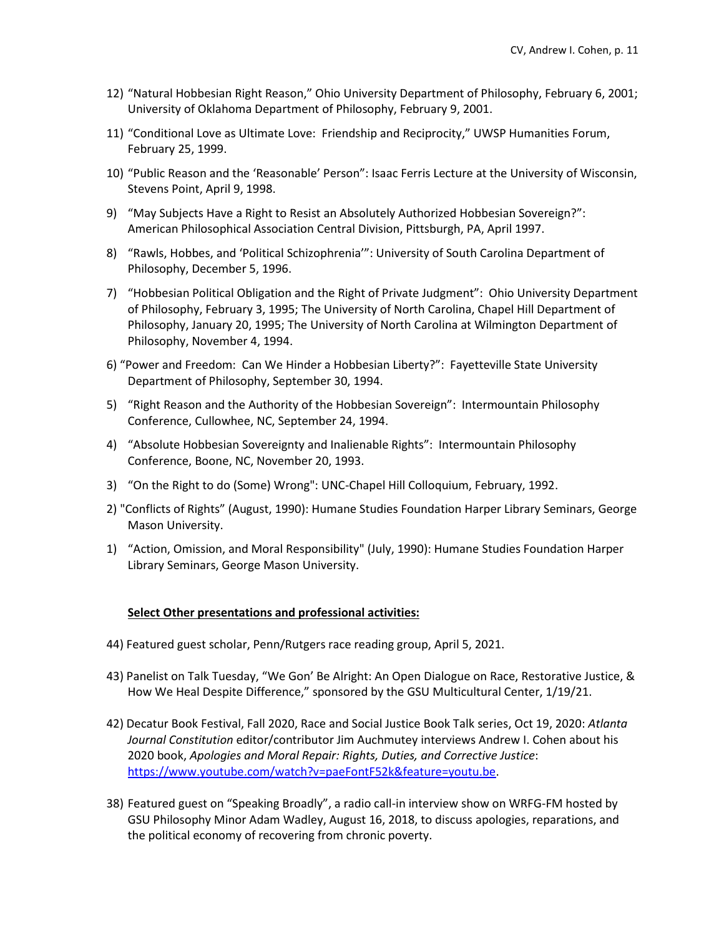- 12) "Natural Hobbesian Right Reason," Ohio University Department of Philosophy, February 6, 2001; University of Oklahoma Department of Philosophy, February 9, 2001.
- 11) "Conditional Love as Ultimate Love: Friendship and Reciprocity," UWSP Humanities Forum, February 25, 1999.
- 10) "Public Reason and the 'Reasonable' Person": Isaac Ferris Lecture at the University of Wisconsin, Stevens Point, April 9, 1998.
- 9) "May Subjects Have a Right to Resist an Absolutely Authorized Hobbesian Sovereign?": American Philosophical Association Central Division, Pittsburgh, PA, April 1997.
- 8) "Rawls, Hobbes, and 'Political Schizophrenia'": University of South Carolina Department of Philosophy, December 5, 1996.
- 7) "Hobbesian Political Obligation and the Right of Private Judgment": Ohio University Department of Philosophy, February 3, 1995; The University of North Carolina, Chapel Hill Department of Philosophy, January 20, 1995; The University of North Carolina at Wilmington Department of Philosophy, November 4, 1994.
- 6) "Power and Freedom: Can We Hinder a Hobbesian Liberty?": Fayetteville State University Department of Philosophy, September 30, 1994.
- 5) "Right Reason and the Authority of the Hobbesian Sovereign": Intermountain Philosophy Conference, Cullowhee, NC, September 24, 1994.
- 4) "Absolute Hobbesian Sovereignty and Inalienable Rights": Intermountain Philosophy Conference, Boone, NC, November 20, 1993.
- 3) "On the Right to do (Some) Wrong": UNC-Chapel Hill Colloquium, February, 1992.
- 2) "Conflicts of Rights" (August, 1990): Humane Studies Foundation Harper Library Seminars, George Mason University.
- 1) "Action, Omission, and Moral Responsibility" (July, 1990): Humane Studies Foundation Harper Library Seminars, George Mason University.

### **Select Other presentations and professional activities:**

- 44) Featured guest scholar, Penn/Rutgers race reading group, April 5, 2021.
- 43) Panelist on Talk Tuesday, "We Gon' Be Alright: An Open Dialogue on Race, Restorative Justice, & How We Heal Despite Difference," sponsored by the GSU Multicultural Center, 1/19/21.
- 42) Decatur Book Festival, Fall 2020, Race and Social Justice Book Talk series, Oct 19, 2020: *Atlanta Journal Constitution* editor/contributor Jim Auchmutey interviews Andrew I. Cohen about his 2020 book, *Apologies and Moral Repair: Rights, Duties, and Corrective Justice*: [https://www.youtube.com/watch?v=paeFontF52k&feature=youtu.be.](https://www.youtube.com/watch?v=paeFontF52k&feature=youtu.be)
- 38) Featured guest on "Speaking Broadly", a radio call-in interview show on WRFG-FM hosted by GSU Philosophy Minor Adam Wadley, August 16, 2018, to discuss apologies, reparations, and the political economy of recovering from chronic poverty.